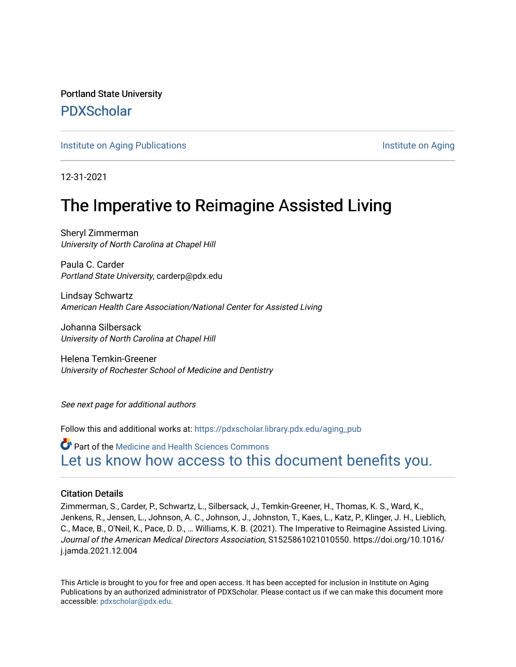Portland State University [PDXScholar](https://pdxscholar.library.pdx.edu/)

[Institute on Aging Publications](https://pdxscholar.library.pdx.edu/aging_pub) **Institute on Aging** 

12-31-2021

# The Imperative to Reimagine Assisted Living

Sheryl Zimmerman University of North Carolina at Chapel Hill

Paula C. Carder Portland State University, carderp@pdx.edu

Lindsay Schwartz American Health Care Association/National Center for Assisted Living

Johanna Silbersack University of North Carolina at Chapel Hill

Helena Temkin-Greener University of Rochester School of Medicine and Dentistry

See next page for additional authors

Follow this and additional works at: [https://pdxscholar.library.pdx.edu/aging\\_pub](https://pdxscholar.library.pdx.edu/aging_pub?utm_source=pdxscholar.library.pdx.edu%2Faging_pub%2F105&utm_medium=PDF&utm_campaign=PDFCoverPages) 

Part of the [Medicine and Health Sciences Commons](http://network.bepress.com/hgg/discipline/648?utm_source=pdxscholar.library.pdx.edu%2Faging_pub%2F105&utm_medium=PDF&utm_campaign=PDFCoverPages)  [Let us know how access to this document benefits you.](http://library.pdx.edu/services/pdxscholar-services/pdxscholar-feedback/?ref=https://pdxscholar.library.pdx.edu/aging_pub/105) 

### Citation Details

Zimmerman, S., Carder, P., Schwartz, L., Silbersack, J., Temkin-Greener, H., Thomas, K. S., Ward, K., Jenkens, R., Jensen, L., Johnson, A. C., Johnson, J., Johnston, T., Kaes, L., Katz, P., Klinger, J. H., Lieblich, C., Mace, B., O'Neil, K., Pace, D. D., … Williams, K. B. (2021). The Imperative to Reimagine Assisted Living. Journal of the American Medical Directors Association, S1525861021010550. https://doi.org/10.1016/ j.jamda.2021.12.004

This Article is brought to you for free and open access. It has been accepted for inclusion in Institute on Aging Publications by an authorized administrator of PDXScholar. Please contact us if we can make this document more accessible: [pdxscholar@pdx.edu.](mailto:pdxscholar@pdx.edu)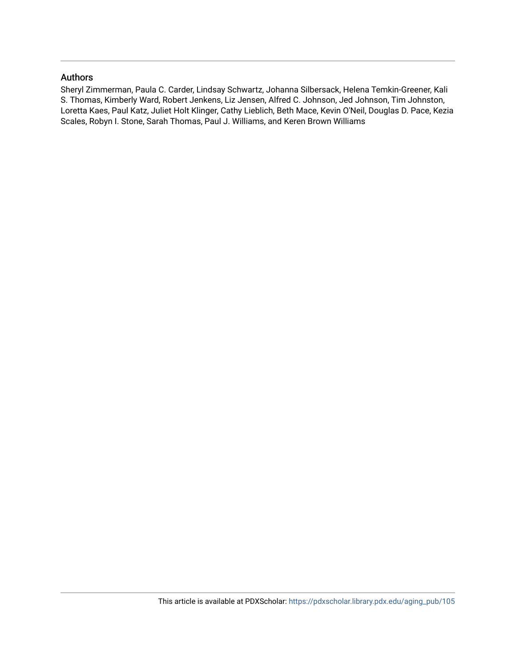### Authors

Sheryl Zimmerman, Paula C. Carder, Lindsay Schwartz, Johanna Silbersack, Helena Temkin-Greener, Kali S. Thomas, Kimberly Ward, Robert Jenkens, Liz Jensen, Alfred C. Johnson, Jed Johnson, Tim Johnston, Loretta Kaes, Paul Katz, Juliet Holt Klinger, Cathy Lieblich, Beth Mace, Kevin O'Neil, Douglas D. Pace, Kezia Scales, Robyn I. Stone, Sarah Thomas, Paul J. Williams, and Keren Brown Williams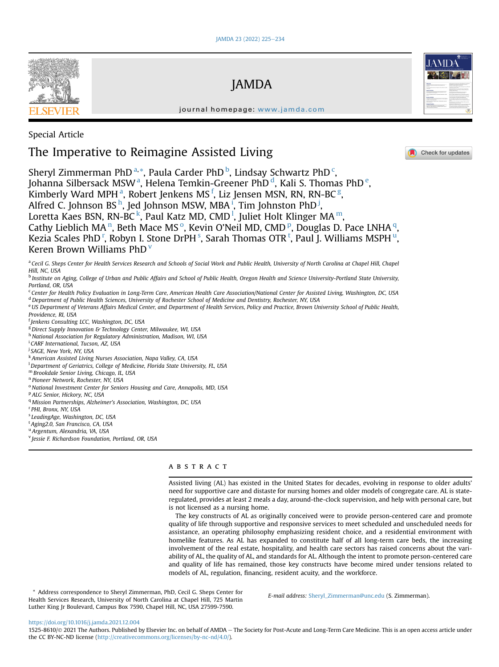

#### journal homepage: [www.jamda.com](http://www.jamda.com)

JAMDA

Special Article

## The Imperative to Reimagine Assisted Living

Check for updates

Sheryl Zimmerman PhD<sup>[a,](#page-2-0)[\\*](#page-2-1)</sup>, Paula Carder PhD<sup>[b](#page-2-2)</sup>, Lindsay S[c](#page-2-3)hwartz PhD<sup>c</sup>, Joh[a](#page-2-0)nna Silbersack MSW<sup>a</sup>, Helena Temkin-Greener PhD<sup>[d](#page-2-4)</sup>, Kali S. Thomas PhD<sup>[e](#page-2-5)</sup>, Kimberly W[a](#page-2-0)rd MPH  $^{\rm a}$ , Robert Jenkens MS  $^{\rm f}$  $^{\rm f}$  $^{\rm f}$ , Liz Jensen MSN, RN, RN-BC  $^{\rm g}$  $^{\rm g}$  $^{\rm g}$ , Alfred C. Jo[h](#page-2-8)nson BS <sup>h</sup>, Jed Johnson MSW, MBA <sup>[i](#page-2-9)</sup>, Tim Johnston PhD <sup>[j](#page-2-10)</sup>, Loretta Kaes BSN, RN-BC<sup>[k](#page-2-11)</sup>, Pau[l](#page-2-12) Katz MD, CMD<sup>1</sup>, Juliet Holt Klinger MA<sup>m</sup>, Cathy Lieblich MA<sup>[n](#page-2-14)</sup>, Beth Mace MS<sup>[o](#page-2-15)</su[p](#page-2-16)>, Kevin O'Neil MD, CMD<sup>p</sup>, Douglas D. Pace LNHA<sup>[q](#page-2-17)</sup>, Kezia Scales PhD <sup>[r](#page-2-18)</[s](#page-2-19)up>, Robyn I. S[t](#page-2-20)one DrPH <s[u](#page-2-21)p>s</sup>, Sarah Thomas OTR <sup>t</sup>, Paul J. Williams MSPH <sup>u</sup>, Keren Brown Williams PhD<sup> $V$ </sup>

<span id="page-2-0"></span>a Cecil G. Sheps Center for Health Services Research and Schools of Social Work and Public Health, University of North Carolina at Chapel Hill, Chapel Hill, NC, USA

<span id="page-2-2"></span><sup>b</sup> Institute on Aging, College of Urban and Public Affairs and School of Public Health, Oregon Health and Science University-Portland State University, Portland, OR, USA

<span id="page-2-4"></span><span id="page-2-3"></span><sup>c</sup> Center for Health Policy Evaluation in Long-Term Care, American Health Care Association/National Center for Assisted Living, Washington, DC, USA <sup>d</sup> Department of Public Health Sciences, University of Rochester School of Medicine and Dentistry, Rochester, NY, USA

<span id="page-2-5"></span>e US Department of Veterans Affairs Medical Center, and Department of Health Services, Policy and Practice, Brown University School of Public Health, Providence, RI, USA

<span id="page-2-6"></span>f Jenkens Consulting LCC, Washington, DC, USA

<span id="page-2-7"></span><sup>g</sup> Direct Supply Innovation & Technology Center, Milwaukee, WI, USA

<span id="page-2-8"></span>h National Association for Regulatory Administration, Madison, WI, USA

<span id="page-2-9"></span><sup>i</sup> CARF International, Tucson, AZ, USA

<span id="page-2-10"></span><sup>j</sup> SAGE, New York, NY, USA

<span id="page-2-11"></span><sup>k</sup> American Assisted Living Nurses Association, Napa Valley, CA, USA

<span id="page-2-12"></span><sup>1</sup> Department of Geriatrics, College of Medicine, Florida State University, FL, USA

<span id="page-2-13"></span><sup>m</sup> Brookdale Senior Living, Chicago, IL, USA

<span id="page-2-14"></span><sup>n</sup> Pioneer Network, Rochester, NY, USA

<span id="page-2-15"></span><sup>o</sup> National Investment Center for Seniors Housing and Care, Annapolis, MD, USA

<span id="page-2-16"></span><sup>p</sup> ALG Senior, Hickory, NC, USA

<span id="page-2-17"></span><sup>q</sup> Mission Partnerships, Alzheimer's Association, Washington, DC, USA

<span id="page-2-18"></span><sup>r</sup> PHI, Bronx, NY, USA

<span id="page-2-19"></span><sup>s</sup> LeadingAge, Washington, DC, USA

<span id="page-2-20"></span><sup>t</sup> Aging2.0, San Francisco, CA, USA

<span id="page-2-21"></span><sup>u</sup> Argentum, Alexandria, VA, USA

<span id="page-2-22"></span><sup>v</sup> Jessie F. Richardson Foundation, Portland, OR, USA

### ABSTRACT

Assisted living (AL) has existed in the United States for decades, evolving in response to older adults' need for supportive care and distaste for nursing homes and older models of congregate care. AL is stateregulated, provides at least 2 meals a day, around-the-clock supervision, and help with personal care, but is not licensed as a nursing home.

The key constructs of AL as originally conceived were to provide person-centered care and promote quality of life through supportive and responsive services to meet scheduled and unscheduled needs for assistance, an operating philosophy emphasizing resident choice, and a residential environment with homelike features. As AL has expanded to constitute half of all long-term care beds, the increasing involvement of the real estate, hospitality, and health care sectors has raised concerns about the variability of AL, the quality of AL, and standards for AL. Although the intent to promote person-centered care and quality of life has remained, those key constructs have become mired under tensions related to models of AL, regulation, financing, resident acuity, and the workforce.

<span id="page-2-1"></span>\* Address correspondence to Sheryl Zimmerman, PhD, Cecil G. Sheps Center for Health Services Research, University of North Carolina at Chapel Hill, 725 Martin Luther King Jr Boulevard, Campus Box 7590, Chapel Hill, NC, USA 27599-7590.

E-mail address: [Sheryl\\_Zimmerman@unc.edu](mailto:Sheryl_Zimmerman@unc.edu) (S. Zimmerman).

<https://doi.org/10.1016/j.jamda.2021.12.004>

1525-8610/© 2021 The Authors. Published by Elsevier Inc. on behalf of AMDA - The Society for Post-Acute and Long-Term Care Medicine. This is an open access article under the CC BY-NC-ND license [\(http://creativecommons.org/licenses/by-nc-nd/4.0/](http://creativecommons.org/licenses/by-nc-nd/4.0/)).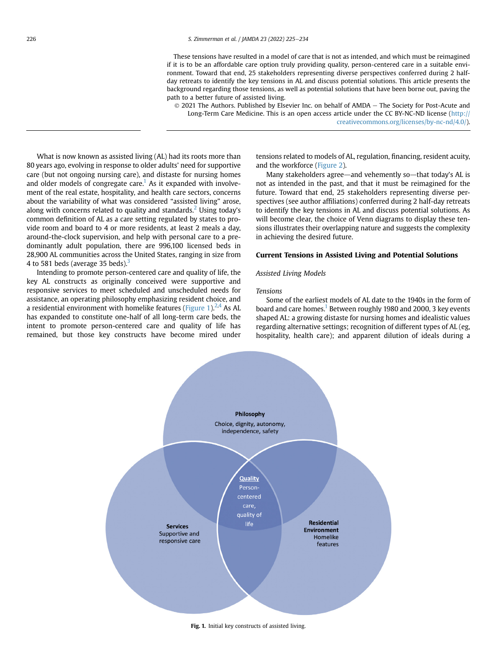These tensions have resulted in a model of care that is not as intended, and which must be reimagined if it is to be an affordable care option truly providing quality, person-centered care in a suitable environment. Toward that end, 25 stakeholders representing diverse perspectives conferred during 2 halfday retreats to identify the key tensions in AL and discuss potential solutions. This article presents the background regarding those tensions, as well as potential solutions that have been borne out, paving the path to a better future of assisted living.

 $©$  2021 The Authors. Published by Elsevier Inc. on behalf of AMDA - The Society for Post-Acute and Long-Term Care Medicine. This is an open access article under the CC BY-NC-ND license [\(http://](http://creativecommons.org/licenses/by-nc-nd/4.0/) [creativecommons.org/licenses/by-nc-nd/4.0/\)](http://creativecommons.org/licenses/by-nc-nd/4.0/).

What is now known as assisted living (AL) had its roots more than 80 years ago, evolving in response to older adults' need for supportive care (but not ongoing nursing care), and distaste for nursing homes and older models of congregate care.<sup>[1](#page-9-0)</sup> As it expanded with involvement of the real estate, hospitality, and health care sectors, concerns about the variability of what was considered "assisted living" arose, along with concerns related to quality and standards.<sup>[2](#page-9-1)</sup> Using today's common definition of AL as a care setting regulated by states to provide room and board to 4 or more residents, at least 2 meals a day, around-the-clock supervision, and help with personal care to a predominantly adult population, there are 996,100 licensed beds in 28,900 AL communities across the United States, ranging in size from 4 to 581 beds (average 35 beds).<sup>3</sup>

<span id="page-3-0"></span>Intending to promote person-centered care and quality of life, the key AL constructs as originally conceived were supportive and responsive services to meet scheduled and unscheduled needs for assistance, an operating philosophy emphasizing resident choice, and a residential environment with homelike features [\(Figure 1\)](#page-3-0). $^{2,4}$  $^{2,4}$  $^{2,4}$  $^{2,4}$  As AL has expanded to constitute one-half of all long-term care beds, the intent to promote person-centered care and quality of life has remained, but those key constructs have become mired under

tensions related to models of AL, regulation, financing, resident acuity, and the workforce [\(Figure 2\)](#page-4-0).

Many stakeholders agree-and vehemently so-that today's AL is not as intended in the past, and that it must be reimagined for the future. Toward that end, 25 stakeholders representing diverse perspectives (see author affiliations) conferred during 2 half-day retreats to identify the key tensions in AL and discuss potential solutions. As will become clear, the choice of Venn diagrams to display these tensions illustrates their overlapping nature and suggests the complexity in achieving the desired future.

#### Current Tensions in Assisted Living and Potential Solutions

#### Assisted Living Models

#### Tensions

Some of the earliest models of AL date to the 1940s in the form of board and care homes.<sup>1</sup> Between roughly 1980 and 2000, 3 key events shaped AL: a growing distaste for nursing homes and idealistic values regarding alternative settings; recognition of different types of AL (eg, hospitality, health care); and apparent dilution of ideals during a



Fig. 1. Initial key constructs of assisted living.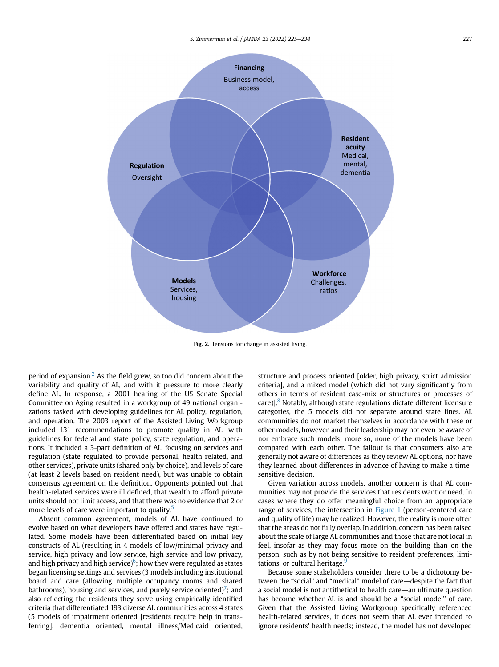<span id="page-4-0"></span>

Fig. 2. Tensions for change in assisted living.

period of expansion. $<sup>2</sup>$  $<sup>2</sup>$  $<sup>2</sup>$  As the field grew, so too did concern about the</sup> variability and quality of AL, and with it pressure to more clearly define AL. In response, a 2001 hearing of the US Senate Special Committee on Aging resulted in a workgroup of 49 national organizations tasked with developing guidelines for AL policy, regulation, and operation. The 2003 report of the Assisted Living Workgroup included 131 recommendations to promote quality in AL, with guidelines for federal and state policy, state regulation, and operations. It included a 3-part definition of AL, focusing on services and regulation (state regulated to provide personal, health related, and other services), private units (shared only by choice), and levels of care (at least 2 levels based on resident need), but was unable to obtain consensus agreement on the definition. Opponents pointed out that health-related services were ill defined, that wealth to afford private units should not limit access, and that there was no evidence that 2 or more levels of care were important to quality.<sup>[5](#page-9-4)</sup>

Absent common agreement, models of AL have continued to evolve based on what developers have offered and states have regulated. Some models have been differentiated based on initial key constructs of AL (resulting in 4 models of low/minimal privacy and service, high privacy and low service, high service and low privacy, and high privacy and high service) $^6$  $^6$ ; how they were regulated as states began licensing settings and services (3 models including institutional board and care (allowing multiple occupancy rooms and shared bathrooms), housing and services, and purely service oriented)<sup>7</sup>; and also reflecting the residents they serve using empirically identified criteria that differentiated 193 diverse AL communities across 4 states (5 models of impairment oriented [residents require help in transferring], dementia oriented, mental illness/Medicaid oriented, structure and process oriented [older, high privacy, strict admission criteria], and a mixed model (which did not vary significantly from others in terms of resident case-mix or structures or processes of care)]. $8$  Notably, although state regulations dictate different licensure categories, the 5 models did not separate around state lines. AL communities do not market themselves in accordance with these or other models, however, and their leadership may not even be aware of nor embrace such models; more so, none of the models have been compared with each other. The fallout is that consumers also are generally not aware of differences as they review AL options, nor have they learned about differences in advance of having to make a timesensitive decision.

Given variation across models, another concern is that AL communities may not provide the services that residents want or need. In cases where they do offer meaningful choice from an appropriate range of services, the intersection in [Figure 1](#page-3-0) (person-centered care and quality of life) may be realized. However, the reality is more often that the areas do not fully overlap. In addition, concern has been raised about the scale of large AL communities and those that are not local in feel, insofar as they may focus more on the building than on the person, such as by not being sensitive to resident preferences, limi-tations, or cultural heritage.<sup>[9](#page-9-8)</sup>

Because some stakeholders consider there to be a dichotomy between the "social" and "medical" model of care-despite the fact that a social model is not antithetical to health care—an ultimate question has become whether AL is and should be a "social model" of care. Given that the Assisted Living Workgroup specifically referenced health-related services, it does not seem that AL ever intended to ignore residents' health needs; instead, the model has not developed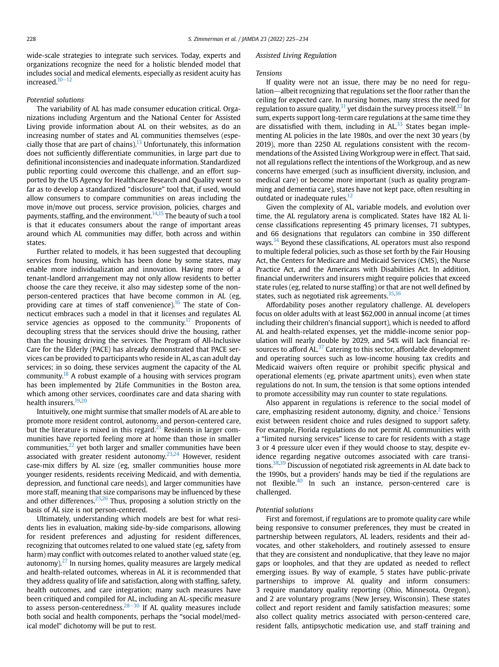wide-scale strategies to integrate such services. Today, experts and organizations recognize the need for a holistic blended model that includes social and medical elements, especially as resident acuity has  $increased.<sup>10-12</sup>$  $increased.<sup>10-12</sup>$  $increased.<sup>10-12</sup>$  $increased.<sup>10-12</sup>$  $increased.<sup>10-12</sup>$ 

#### Potential solutions

The variability of AL has made consumer education critical. Organizations including Argentum and the National Center for Assisted Living provide information about AL on their websites, as do an increasing number of states and AL communities themselves (especially those that are part of chains).<sup>13</sup> Unfortunately, this information does not sufficiently differentiate communities, in large part due to definitional inconsistencies and inadequate information. Standardized public reporting could overcome this challenge, and an effort supported by the US Agency for Healthcare Research and Quality went so far as to develop a standardized "disclosure" tool that, if used, would allow consumers to compare communities on areas including the move in/move out process, service provision, policies, charges and payments, staffing, and the environment.<sup>[14,](#page-9-11)[15](#page-9-12)</sup> The beauty of such a tool is that it educates consumers about the range of important areas around which AL communities may differ, both across and within states.

Further related to models, it has been suggested that decoupling services from housing, which has been done by some states, may enable more individualization and innovation. Having more of a tenant-landlord arrangement may not only allow residents to better choose the care they receive, it also may sidestep some of the nonperson-centered practices that have become common in AL (eg, providing care at times of staff convenience).<sup>16</sup> The state of Connecticut embraces such a model in that it licenses and regulates AL service agencies as opposed to the community.<sup>[17](#page-9-14)</sup> Proponents of decoupling stress that the services should drive the housing, rather than the housing driving the services. The Program of All-Inclusive Care for the Elderly (PACE) has already demonstrated that PACE services can be provided to participants who reside in AL, as can adult day services; in so doing, these services augment the capacity of the AL community. $18$  A robust example of a housing with services program has been implemented by 2Life Communities in the Boston area, which among other services, coordinates care and data sharing with health insurers.<sup>[19,](#page-9-16)[20](#page-9-17)</sup>

Intuitively, one might surmise that smaller models of AL are able to promote more resident control, autonomy, and person-centered care, but the literature is mixed in this regard. $21$  Residents in larger communities have reported feeling more at home than those in smaller communities, $22$  yet both larger and smaller communities have been associated with greater resident autonomy.<sup>[23](#page-9-20),[24](#page-9-21)</sup> However, resident case-mix differs by AL size (eg, smaller communities house more younger residents, residents receiving Medicaid, and with dementia, depression, and functional care needs), and larger communities have more staff, meaning that size comparisons may be influenced by these and other differences. $25,26$  $25,26$  $25,26$  Thus, proposing a solution strictly on the basis of AL size is not person-centered.

Ultimately, understanding which models are best for what residents lies in evaluation, making side-by-side comparisons, allowing for resident preferences and adjusting for resident differences, recognizing that outcomes related to one valued state (eg, safety from harm) may conflict with outcomes related to another valued state (eg, autonomy). $27$  In nursing homes, quality measures are largely medical and health-related outcomes, whereas in AL it is recommended that they address quality of life and satisfaction, along with staffing, safety, health outcomes, and care integration; many such measures have been critiqued and compiled for AL, including an AL-specific measure to assess person-centeredness. $28-30$  $28-30$  If AL quality measures include both social and health components, perhaps the "social model/medical model" dichotomy will be put to rest.

#### Assisted Living Regulation

#### Tensions

If quality were not an issue, there may be no need for regulation—albeit recognizing that regulations set the floor rather than the ceiling for expected care. In nursing homes, many stress the need for regulation to assure quality,  $31$  yet disdain the survey process itself.  $32$  In sum, experts support long-term care regulations at the same time they are dissatisfied with them, including in  $AL<sup>33</sup>$  States began implementing AL policies in the late 1980s, and over the next 30 years (by 2019), more than 2250 AL regulations consistent with the recommendations of the Assisted Living Workgroup were in effect. That said, not all regulations reflect the intentions of the Workgroup, and as new concerns have emerged (such as insufficient diversity, inclusion, and medical care) or become more important (such as quality programming and dementia care), states have not kept pace, often resulting in outdated or inadequate rules. $12$ 

Given the complexity of AL, variable models, and evolution over time, the AL regulatory arena is complicated. States have 182 AL license classifications representing 45 primary licenses, 71 subtypes, and 66 designations that regulators can combine in 350 different ways.<sup>34</sup> Beyond these classifications, AL operators must also respond to multiple federal policies, such as those set forth by the Fair Housing Act, the Centers for Medicare and Medicaid Services (CMS), the Nurse Practice Act, and the Americans with Disabilities Act. In addition, financial underwriters and insurers might require policies that exceed state rules (eg, related to nurse staffing) or that are not well defined by states, such as negotiated risk agreements.<sup>35[,36](#page-9-32)</sup>

Affordability poses another regulatory challenge. AL developers focus on older adults with at least \$62,000 in annual income (at times including their children's financial support), which is needed to afford AL and health-related expenses, yet the middle-income senior population will nearly double by 2029, and 54% will lack financial resources to afford  $AL^{37}$  Catering to this sector, affordable development and operating sources such as low-income housing tax credits and Medicaid waivers often require or prohibit specific physical and operational elements (eg, private apartment units), even when state regulations do not. In sum, the tension is that some options intended to promote accessibility may run counter to state regulations.

Also apparent in regulations is reference to the social model of care, emphasizing resident autonomy, dignity, and choice. $<sup>2</sup>$  $<sup>2</sup>$  $<sup>2</sup>$  Tensions</sup> exist between resident choice and rules designed to support safety. For example, Florida regulations do not permit AL communities with a "limited nursing services" license to care for residents with a stage 3 or 4 pressure ulcer even if they would choose to stay, despite evidence regarding negative outcomes associated with care transitions[.38](#page-9-34)[,39](#page-10-0) Discussion of negotiated risk agreements in AL date back to the 1990s, but a providers' hands may be tied if the regulations are not flexible.<sup>40</sup> In such an instance, person-centered care is challenged.

#### Potential solutions

First and foremost, if regulations are to promote quality care while being responsive to consumer preferences, they must be created in partnership between regulators, AL leaders, residents and their advocates, and other stakeholders, and routinely assessed to ensure that they are consistent and nonduplicative, that they leave no major gaps or loopholes, and that they are updated as needed to reflect emerging issues. By way of example, 5 states have public-private partnerships to improve AL quality and inform consumers: 3 require mandatory quality reporting (Ohio, Minnesota, Oregon), and 2 are voluntary programs (New Jersey, Wisconsin). These states collect and report resident and family satisfaction measures; some also collect quality metrics associated with person-centered care, resident falls, antipsychotic medication use, and staff training and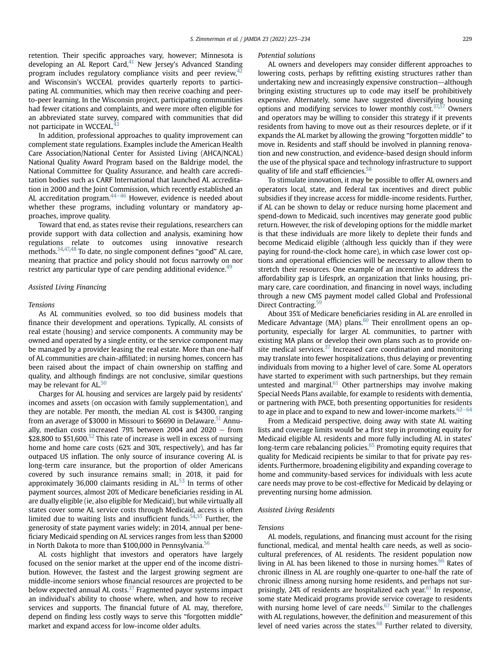retention. Their specific approaches vary, however; Minnesota is developing an AL Report Card, $41$  New Jersey's Advanced Standing program includes regulatory compliance visits and peer review, $42$ and Wisconsin's WCCEAL provides quarterly reports to participating AL communities, which may then receive coaching and peerto-peer learning. In the Wisconsin project, participating communities had fewer citations and complaints, and were more often eligible for an abbreviated state survey, compared with communities that did not participate in WCCEAL.<sup>43</sup>

In addition, professional approaches to quality improvement can complement state regulations. Examples include the American Health Care Association/National Center for Assisted Living (AHCA/NCAL) National Quality Award Program based on the Baldrige model, the National Committee for Quality Assurance, and health care accreditation bodies such as CARF International that launched AL accreditation in 2000 and the Joint Commission, which recently established an AL accreditation program.  $44-46$  $44-46$  However, evidence is needed about whether these programs, including voluntary or mandatory approaches, improve quality.

Toward that end, as states revise their regulations, researchers can provide support with data collection and analysis, examining how regulations relate to outcomes using innovative research methods[.34](#page-9-30)[,47,](#page-10-6)[48](#page-10-7) To date, no single component defines "good" AL care, meaning that practice and policy should not focus narrowly on nor restrict any particular type of care pending additional evidence.<sup>[49](#page-10-8)</sup>

#### Assisted Living Financing

#### Tensions

As AL communities evolved, so too did business models that finance their development and operations. Typically, AL consists of real estate (housing) and service components. A community may be owned and operated by a single entity, or the service component may be managed by a provider leasing the real estate. More than one-half of AL communities are chain-affiliated; in nursing homes, concern has been raised about the impact of chain ownership on staffing and quality, and although findings are not conclusive, similar questions may be relevant for AL.<sup>50</sup>

Charges for AL housing and services are largely paid by residents' incomes and assets (on occasion with family supplementation), and they are notable. Per month, the median AL cost is \$4300, ranging from an average of \$3000 in Missouri to \$6690 in Delaware.<sup>[51](#page-10-10)</sup> Annually, median costs increased 79% between 2004 and 2020  $-$  from \$28,800 to \$51,600.<sup>[52](#page-10-11)</sup> This rate of increase is well in excess of nursing home and home care costs (62% and 30%, respectively), and has far outpaced US inflation. The only source of insurance covering AL is long-term care insurance, but the proportion of older Americans covered by such insurance remains small; in 2018, it paid for approximately 36,000 claimants residing in  $AL^{53}$  $AL^{53}$  $AL^{53}$  In terms of other payment sources, almost 20% of Medicare beneficiaries residing in AL are dually eligible (ie, also eligible for Medicaid), but while virtually all states cover some AL service costs through Medicaid, access is often limited due to waiting lists and insufficient funds.<sup>54,[55](#page-10-14)</sup> Further, the generosity of state payment varies widely; in 2014, annual per beneficiary Medicaid spending on AL services ranges from less than \$2000 in North Dakota to more than \$100,000 in Pennsylvania.<sup>56</sup>

AL costs highlight that investors and operators have largely focused on the senior market at the upper end of the income distribution. However, the fastest and the largest growing segment are middle-income seniors whose financial resources are projected to be below expected annual AL costs.<sup>[37](#page-9-33)</sup> Fragmented payor systems impact an individual's ability to choose where, when, and how to receive services and supports. The financial future of AL may, therefore, depend on finding less costly ways to serve this "forgotten middle" market and expand access for low-income older adults.

#### Potential solutions

AL owners and developers may consider different approaches to lowering costs, perhaps by refitting existing structures rather than undertaking new and increasingly expensive construction—although bringing existing structures up to code may itself be prohibitively expensive. Alternately, some have suggested diversifying housing options and modifying services to lower monthly cost. $37,57$  $37,57$  Owners and operators may be willing to consider this strategy if it prevents residents from having to move out as their resources deplete, or if it expands the AL market by allowing the growing "forgotten middle" to move in. Residents and staff should be involved in planning renovation and new construction, and evidence-based design should inform the use of the physical space and technology infrastructure to support quality of life and staff efficiencies.<sup>58</sup>

To stimulate innovation, it may be possible to offer AL owners and operators local, state, and federal tax incentives and direct public subsidies if they increase access for middle-income residents. Further, if AL can be shown to delay or reduce nursing home placement and spend-down to Medicaid, such incentives may generate good public return. However, the risk of developing options for the middle market is that these individuals are more likely to deplete their funds and become Medicaid eligible (although less quickly than if they were paying for round-the-clock home care), in which case lower cost options and operational efficiencies will be necessary to allow them to stretch their resources. One example of an incentive to address the affordability gap is Lifesprk, an organization that links housing, primary care, care coordination, and financing in novel ways, including through a new CMS payment model called Global and Professional Direct Contracting.<sup>[59](#page-10-18)</sup>

About 35% of Medicare beneficiaries residing in AL are enrolled in Medicare Advantage (MA) plans. $60$  Their enrollment opens an opportunity, especially for larger AL communities, to partner with existing MA plans or develop their own plans such as to provide onsite medical services. $37$  Increased care coordination and monitoring may translate into fewer hospitalizations, thus delaying or preventing individuals from moving to a higher level of care. Some AL operators have started to experiment with such partnerships, but they remain untested and marginal. $61$  Other partnerships may involve making Special Needs Plans available, for example to residents with dementia, or partnering with PACE, both presenting opportunities for residents to age in place and to expand to new and lower-income markets.  $62-64$  $62-64$  $62-64$ 

From a Medicaid perspective, doing away with state AL waiting lists and coverage limits would be a first step in promoting equity for Medicaid eligible AL residents and more fully including AL in states' long-term care rebalancing policies. $65$  Promoting equity requires that quality for Medicaid recipients be similar to that for private pay residents. Furthermore, broadening eligibility and expanding coverage to home and community-based services for individuals with less acute care needs may prove to be cost-effective for Medicaid by delaying or preventing nursing home admission.

#### Assisted Living Residents

#### Tensions

AL models, regulations, and financing must account for the rising functional, medical, and mental health care needs, as well as sociocultural preferences, of AL residents. The resident population now living in AL has been likened to those in nursing homes.<sup>66</sup> Rates of chronic illness in AL are roughly one-quarter to one-half the rate of chronic illness among nursing home residents, and perhaps not sur-prisingly, 24% of residents are hospitalized each year.<sup>[61](#page-10-20)</sup> In response, some state Medicaid programs provide service coverage to residents with nursing home level of care needs.<sup>67</sup> Similar to the challenges with AL regulations, however, the definition and measurement of this level of need varies across the states. $68$  Further related to diversity,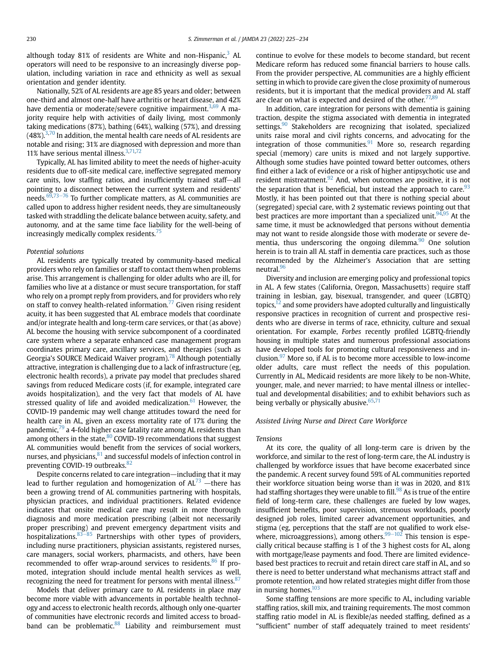although today 81% of residents are White and non-Hispanic, $3$  AL operators will need to be responsive to an increasingly diverse population, including variation in race and ethnicity as well as sexual orientation and gender identity.

Nationally, 52% of AL residents are age 85 years and older; between one-third and almost one-half have arthritis or heart disease, and 42% have dementia or moderate/severe cognitive impairment.<sup>[3](#page-9-2)[,69](#page-10-26)</sup> A majority require help with activities of daily living, most commonly taking medications (87%), bathing (64%), walking (57%), and dressing  $(48\%)^{3,70}$  $(48\%)^{3,70}$  $(48\%)^{3,70}$  $(48\%)^{3,70}$  $(48\%)^{3,70}$  In addition, the mental health care needs of AL residents are notable and rising; 31% are diagnosed with depression and more than 11% have serious mental illness[.3](#page-9-2),[71](#page-10-28)[,72](#page-10-29)

Typically, AL has limited ability to meet the needs of higher-acuity residents due to off-site medical care, ineffective segregated memory care units, low staffing ratios, and insufficiently trained staff-all pointing to a disconnect between the current system and residents' needs. $69,73-76$  $69,73-76$  $69,73-76$  $69,73-76$  To further complicate matters, as AL communities are called upon to address higher resident needs, they are simultaneously tasked with straddling the delicate balance between acuity, safety, and autonomy, and at the same time face liability for the well-being of increasingly medically complex residents.<sup>[75](#page-10-31)</sup>

#### Potential solutions

AL residents are typically treated by community-based medical providers who rely on families or staff to contact them when problems arise. This arrangement is challenging for older adults who are ill, for families who live at a distance or must secure transportation, for staff who rely on a prompt reply from providers, and for providers who rely on staff to convey health-related information.<sup>77</sup> Given rising resident acuity, it has been suggested that AL embrace models that coordinate and/or integrate health and long-term care services, or that (as above) AL become the housing with service subcomponent of a coordinated care system where a separate enhanced case management program coordinates primary care, ancillary services, and therapies (such as Georgia's SOURCE Medicaid Waiver program).<sup>78</sup> Although potentially attractive, integration is challenging due to a lack of infrastructure (eg, electronic health records), a private pay model that precludes shared savings from reduced Medicare costs (if, for example, integrated care avoids hospitalization), and the very fact that models of AL have stressed quality of life and avoided medicalization. $61$  However, the COVID-19 pandemic may well change attitudes toward the need for health care in AL, given an excess mortality rate of 17% during the pandemic,<sup>[79](#page-10-34)</sup> a 4-fold higher case fatality rate among AL residents than among others in the state, $80$  COVID-19 recommendations that suggest AL communities would benefit from the services of social workers, nurses, and physicians, $81$  and successful models of infection control in preventing COVID-19 outbreaks.<sup>[82](#page-10-37)</sup>

Despite concerns related to care integration-including that it may lead to further regulation and homogenization of  $AL^{73}$  $AL^{73}$  $AL^{73}$  -there has been a growing trend of AL communities partnering with hospitals, physician practices, and individual practitioners. Related evidence indicates that onsite medical care may result in more thorough diagnosis and more medication prescribing (albeit not necessarily proper prescribing) and prevent emergency department visits and hospitalizations. $83\overline{-85}$  $83\overline{-85}$  $83\overline{-85}$  Partnerships with other types of providers, including nurse practitioners, physician assistants, registered nurses, care managers, social workers, pharmacists, and others, have been recommended to offer wrap-around services to residents.<sup>[86](#page-10-39)</sup> If promoted, integration should include mental health services as well, recognizing the need for treatment for persons with mental illness. $87$ 

Models that deliver primary care to AL residents in place may become more viable with advancements in portable health technology and access to electronic health records, although only one-quarter of communities have electronic records and limited access to broadband can be problematic. $88$  Liability and reimbursement must continue to evolve for these models to become standard, but recent Medicare reform has reduced some financial barriers to house calls. From the provider perspective, AL communities are a highly efficient setting in which to provide care given the close proximity of numerous residents, but it is important that the medical providers and AL staff are clear on what is expected and desired of the other.<sup>[77,](#page-10-32)[89](#page-10-42)</sup>

In addition, care integration for persons with dementia is gaining traction, despite the stigma associated with dementia in integrated settings.<sup>90</sup> Stakeholders are recognizing that isolated, specialized units raise moral and civil rights concerns, and advocating for the integration of those communities. $91$  More so, research regarding special (memory) care units is mixed and not largely supportive. Although some studies have pointed toward better outcomes, others find either a lack of evidence or a risk of higher antipsychotic use and resident mistreatment. $92$  And, when outcomes are positive, it is not the separation that is beneficial, but instead the approach to care.  $93$ Mostly, it has been pointed out that there is nothing special about (segregated) special care, with 2 systematic reviews pointing out that best practices are more important than a specialized unit.  $94,95$  $94,95$  At the same time, it must be acknowledged that persons without dementia may not want to reside alongside those with moderate or severe de-mentia, thus underscoring the ongoing dilemma.<sup>[90](#page-10-43)</sup> One solution herein is to train all AL staff in dementia care practices, such as those recommended by the Alzheimer's Association that are setting neutral.<sup>96</sup>

Diversity and inclusion are emerging policy and professional topics in AL. A few states (California, Oregon, Massachusetts) require staff training in lesbian, gay, bisexual, transgender, and queer (LGBTQ) topics,<sup>[12](#page-9-29)</sup> and some providers have adopted culturally and linguistically responsive practices in recognition of current and prospective residents who are diverse in terms of race, ethnicity, culture and sexual orientation. For example, Forbes recently profiled LGBTQ-friendly housing in multiple states and numerous professional associations have developed tools for promoting cultural responsiveness and inclusion. $97$  More so, if AL is to become more accessible to low-income older adults, care must reflect the needs of this population. Currently in AL, Medicaid residents are more likely to be non-White, younger, male, and never married; to have mental illness or intellectual and developmental disabilities; and to exhibit behaviors such as being verbally or physically abusive.  $65,71$  $65,71$  $65,71$ 

#### Assisted Living Nurse and Direct Care Workforce

#### Tensions

At its core, the quality of all long-term care is driven by the workforce, and similar to the rest of long-term care, the AL industry is challenged by workforce issues that have become exacerbated since the pandemic. A recent survey found 59% of AL communities reported their workforce situation being worse than it was in 2020, and 81% had staffing shortages they were unable to fill.<sup>[98](#page-11-1)</sup> As is true of the entire field of long-term care, these challenges are fueled by low wages, insufficient benefits, poor supervision, strenuous workloads, poorly designed job roles, limited career advancement opportunities, and stigma (eg, perceptions that the staff are not qualified to work elsewhere, microaggressions), among others. $99-102$  $99-102$  This tension is especially critical because staffing is 1 of the 3 highest costs for AL, along with mortgage/lease payments and food. There are limited evidencebased best practices to recruit and retain direct care staff in AL, and so there is need to better understand what mechanisms attract staff and promote retention, and how related strategies might differ from those in nursing homes.<sup>[103](#page-11-3)</sup>

Some staffing tensions are more specific to AL, including variable staffing ratios, skill mix, and training requirements. The most common staffing ratio model in AL is flexible/as needed staffing, defined as a "sufficient" number of staff adequately trained to meet residents'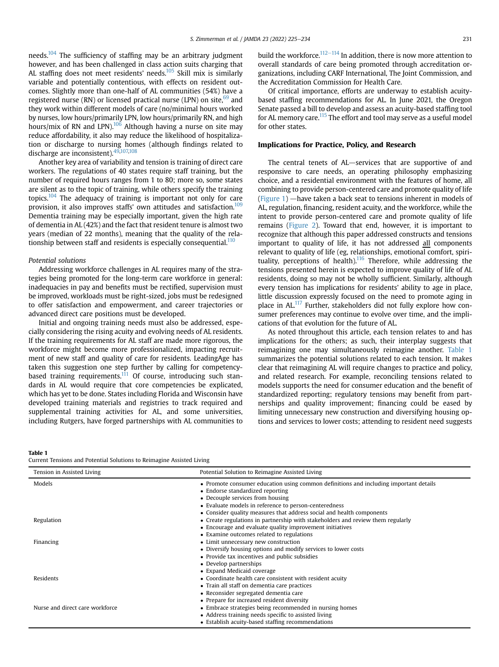needs.<sup>[104](#page-11-4)</sup> The sufficiency of staffing may be an arbitrary judgment however, and has been challenged in class action suits charging that AL staffing does not meet residents' needs. $105$  Skill mix is similarly variable and potentially contentious, with effects on resident outcomes. Slightly more than one-half of AL communities (54%) have a registered nurse (RN) or licensed practical nurse (LPN) on site,  $69$  and they work within different models of care (no/minimal hours worked by nurses, low hours/primarily LPN, low hours/primarily RN, and high hours/mix of RN and LPN). $106$  Although having a nurse on site may reduce affordability, it also may reduce the likelihood of hospitalization or discharge to nursing homes (although findings related to discharge are inconsistent). 49[,107,](#page-11-7)[108](#page-11-8)

Another key area of variability and tension is training of direct care workers. The regulations of 40 states require staff training, but the number of required hours ranges from 1 to 80; more so, some states are silent as to the topic of training, while others specify the training topics.<sup>[104](#page-11-4)</sup> The adequacy of training is important not only for care provision, it also improves staffs' own attitudes and satisfaction.<sup>109</sup> Dementia training may be especially important, given the high rate of dementia in AL (42%) and the fact that resident tenure is almost two years (median of 22 months), meaning that the quality of the rela-tionship between staff and residents is especially consequential.<sup>[110](#page-11-10)</sup>

#### Potential solutions

Addressing workforce challenges in AL requires many of the strategies being promoted for the long-term care workforce in general: inadequacies in pay and benefits must be rectified, supervision must be improved, workloads must be right-sized, jobs must be redesigned to offer satisfaction and empowerment, and career trajectories or advanced direct care positions must be developed.

Initial and ongoing training needs must also be addressed, especially considering the rising acuity and evolving needs of AL residents. If the training requirements for AL staff are made more rigorous, the workforce might become more professionalized, impacting recruitment of new staff and quality of care for residents. LeadingAge has taken this suggestion one step further by calling for competency-based training requirements.<sup>[111](#page-11-11)</sup> Of course, introducing such standards in AL would require that core competencies be explicated, which has yet to be done. States including Florida and Wisconsin have developed training materials and registries to track required and supplemental training activities for AL, and some universities, including Rutgers, have forged partnerships with AL communities to build the workforce.<sup>112–[114](#page-11-12)</sup> In addition, there is now more attention to overall standards of care being promoted through accreditation organizations, including CARF International, The Joint Commission, and the Accreditation Commission for Health Care.

Of critical importance, efforts are underway to establish acuitybased staffing recommendations for AL. In June 2021, the Oregon Senate passed a bill to develop and assess an acuity-based staffing tool for AL memory care.<sup>[115](#page-11-13)</sup> The effort and tool may serve as a useful model for other states.

### Implications for Practice, Policy, and Research

The central tenets of AL $-$ services that are supportive of and responsive to care needs, an operating philosophy emphasizing choice, and a residential environment with the features of home, all combining to provide person-centered care and promote quality of life [\(Figure 1\)](#page-3-0)  $-$ have taken a back seat to tensions inherent in models of AL, regulation, financing, resident acuity, and the workforce, while the intent to provide person-centered care and promote quality of life remains ([Figure 2](#page-4-0)). Toward that end, however, it is important to recognize that although this paper addressed constructs and tensions important to quality of life, it has not addressed all components relevant to quality of life (eg, relationships, emotional comfort, spirituality, perceptions of health). $116$  Therefore, while addressing the tensions presented herein is expected to improve quality of life of AL residents, doing so may not be wholly sufficient. Similarly, although every tension has implications for residents' ability to age in place, little discussion expressly focused on the need to promote aging in place in AL.<sup>[117](#page-11-15)</sup> Further, stakeholders did not fully explore how consumer preferences may continue to evolve over time, and the implications of that evolution for the future of AL.

As noted throughout this article, each tension relates to and has implications for the others; as such, their interplay suggests that reimagining one may simultaneously reimagine another. [Table 1](#page-8-0) summarizes the potential solutions related to each tension. It makes clear that reimagining AL will require changes to practice and policy, and related research. For example, reconciling tensions related to models supports the need for consumer education and the benefit of standardized reporting; regulatory tensions may benefit from partnerships and quality improvement; financing could be eased by limiting unnecessary new construction and diversifying housing options and services to lower costs; attending to resident need suggests

<span id="page-8-0"></span>Table 1

Current Tensions and Potential Solutions to Reimagine Assisted Living

| Tension in Assisted Living      | Potential Solution to Reimagine Assisted Living                                       |
|---------------------------------|---------------------------------------------------------------------------------------|
| Models                          | • Promote consumer education using common definitions and including important details |
|                                 | • Endorse standardized reporting                                                      |
|                                 | • Decouple services from housing                                                      |
|                                 | • Evaluate models in reference to person-centeredness                                 |
|                                 | • Consider quality measures that address social and health components                 |
| Regulation                      | • Create regulations in partnership with stakeholders and review them regularly       |
|                                 | • Encourage and evaluate quality improvement initiatives                              |
|                                 | • Examine outcomes related to regulations                                             |
| Financing                       | • Limit unnecessary new construction                                                  |
|                                 | • Diversify housing options and modify services to lower costs                        |
|                                 | • Provide tax incentives and public subsidies                                         |
|                                 | • Develop partnerships                                                                |
|                                 | • Expand Medicaid coverage                                                            |
| Residents                       | • Coordinate health care consistent with resident acuity                              |
|                                 | • Train all staff on dementia care practices                                          |
|                                 | • Reconsider segregated dementia care                                                 |
|                                 | • Prepare for increased resident diversity                                            |
| Nurse and direct care workforce | • Embrace strategies being recommended in nursing homes                               |
|                                 | • Address training needs specific to assisted living                                  |
|                                 | • Establish acuity-based staffing recommendations                                     |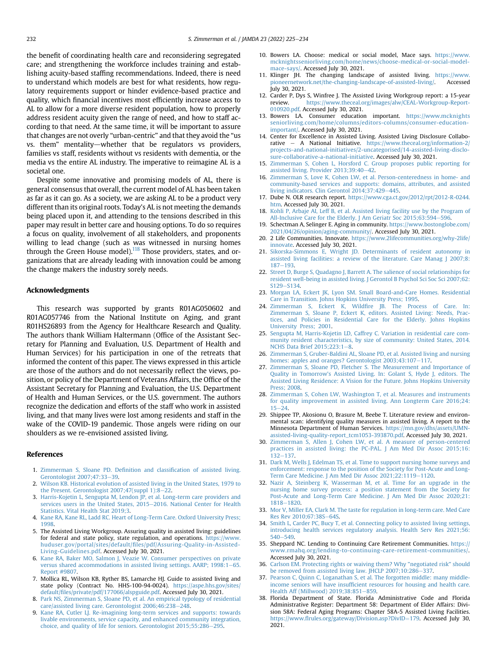the benefit of coordinating health care and reconsidering segregated care; and strengthening the workforce includes training and establishing acuity-based staffing recommendations. Indeed, there is need to understand which models are best for what residents, how regulatory requirements support or hinder evidence-based practice and quality, which financial incentives most efficiently increase access to AL to allow for a more diverse resident population, how to properly address resident acuity given the range of need, and how to staff according to that need. At the same time, it will be important to assure that changes are not overly "urban-centric" and that they avoid the "us vs. them" mentality—whether that be regulators vs providers, families vs staff, residents without vs residents with dementia, or the media vs the entire AL industry. The imperative to reimagine AL is a societal one.

Despite some innovative and promising models of AL, there is general consensus that overall, the current model of AL has been taken as far as it can go. As a society, we are asking AL to be a product very different than its original roots. Today's AL is not meeting the demands being placed upon it, and attending to the tensions described in this paper may result in better care and housing options. To do so requires a focus on quality, involvement of all stakeholders, and proponents willing to lead change (such as was witnessed in nursing homes through the Green House model).<sup>118</sup> Those providers, states, and organizations that are already leading with innovation could be among the change makers the industry sorely needs.

#### Acknowledgments

This research was supported by grants R01AG050602 and R01AG057746 from the National Institute on Aging, and grant R01HS26893 from the Agency for Healthcare Research and Quality. The authors thank William Haltermann (Office of the Assistant Secretary for Planning and Evaluation, U.S. Department of Health and Human Services) for his participation in one of the retreats that informed the content of this paper. The views expressed in this article are those of the authors and do not necessarily reflect the views, position, or policy of the Department of Veterans Affairs, the Office of the Assistant Secretary for Planning and Evaluation, the U.S. Department of Health and Human Services, or the U.S. government. The authors recognize the dedication and efforts of the staff who work in assisted living, and that many lives were lost among residents and staff in the wake of the COVID-19 pandemic. Those angels were riding on our shoulders as we re-envisioned assisted living.

#### <span id="page-9-0"></span>References

- <span id="page-9-1"></span>1. [Zimmerman S, Sloane PD. De](http://refhub.elsevier.com/S1525-8610(21)01055-0/sref1)finition and classification of assisted living. [Gerontologist 2007;47:33](http://refhub.elsevier.com/S1525-8610(21)01055-0/sref1)-[39](http://refhub.elsevier.com/S1525-8610(21)01055-0/sref1).
- <span id="page-9-2"></span>2. [Wilson KB. Historical evolution of assisted living in the United States, 1979 to](http://refhub.elsevier.com/S1525-8610(21)01055-0/sref2) [the Present. Gerontologist 2007;47\(suppl 1\):8](http://refhub.elsevier.com/S1525-8610(21)01055-0/sref2)-[22.](http://refhub.elsevier.com/S1525-8610(21)01055-0/sref2)
- 3. [Harris-Kojetin L, Sengupta M, Lendon JP, et al. Long-term care providers and](http://refhub.elsevier.com/S1525-8610(21)01055-0/sref3) [services users in the United States, 2015](http://refhub.elsevier.com/S1525-8610(21)01055-0/sref3)-[2016. National Center for Health](http://refhub.elsevier.com/S1525-8610(21)01055-0/sref3) [Statistics. Vital Health Stat 2019;3.](http://refhub.elsevier.com/S1525-8610(21)01055-0/sref3)
- <span id="page-9-4"></span><span id="page-9-3"></span>4. [Kane RA, Kane RL, Ladd RC. Heart of Long-Term Care. Oxford University Press;](http://refhub.elsevier.com/S1525-8610(21)01055-0/sref4) [1998.](http://refhub.elsevier.com/S1525-8610(21)01055-0/sref4)
- 5. The Assisted Living Workgroup. Assuring quality in assisted living: guidelines for federal and state policy, state regulation, and operations. [https://www.](https://www.huduser.gov/portal/sites/default/files/pdf/Assuring-Quality-in-Assisted-Living-Guidelines.pdf) huduser.gov/portal/sites/default/fi[les/pdf/Assuring-Quality-in-Assisted-](https://www.huduser.gov/portal/sites/default/files/pdf/Assuring-Quality-in-Assisted-Living-Guidelines.pdf)[Living-Guidelines.pdf.](https://www.huduser.gov/portal/sites/default/files/pdf/Assuring-Quality-in-Assisted-Living-Guidelines.pdf) Accessed July 30, 2021.
- <span id="page-9-5"></span>6. [Kane RA, Baker MO, Salmon J, Veazie W. Consumer perspectives on private](http://refhub.elsevier.com/S1525-8610(21)01055-0/sref6) [versus shared accommodations in assisted living settings. AARP; 1998:1](http://refhub.elsevier.com/S1525-8610(21)01055-0/sref6)-[65.](http://refhub.elsevier.com/S1525-8610(21)01055-0/sref6) [Report #9807.](http://refhub.elsevier.com/S1525-8610(21)01055-0/sref6)
- <span id="page-9-6"></span>7. Mollica RL, Wilson KB, Ryther BS, Lamarche HJ. Guide to assisted living and state policy (Contract No. HHS-100-94-0024). [https://aspe.hhs.gov/sites/](https://aspe.hhs.gov/sites/default/files/private/pdf/177066/alspguide.pdf) default/fi[les/private/pdf/177066/alspguide.pdf](https://aspe.hhs.gov/sites/default/files/private/pdf/177066/alspguide.pdf). Accessed July 30, 2021.
- <span id="page-9-8"></span><span id="page-9-7"></span>8. [Park NS, Zimmerman S, Sloane PD, et al. An empirical typology of residential](http://refhub.elsevier.com/S1525-8610(21)01055-0/sref8) [care/assisted living care. Gerontologist 2006;46:238](http://refhub.elsevier.com/S1525-8610(21)01055-0/sref8)-[248.](http://refhub.elsevier.com/S1525-8610(21)01055-0/sref8)
- 9. [Kane RA, Cutler LJ. Re-imagining long-term services and supports: towards](http://refhub.elsevier.com/S1525-8610(21)01055-0/sref9) [livable environments, service capacity, and enhanced community integration,](http://refhub.elsevier.com/S1525-8610(21)01055-0/sref9) [choice, and quality of life for seniors. Gerontologist 2015;55:286](http://refhub.elsevier.com/S1525-8610(21)01055-0/sref9)-[295.](http://refhub.elsevier.com/S1525-8610(21)01055-0/sref9)
- <span id="page-9-9"></span>10. Bowers LA. Choose: medical or social model, Mace says. [https://www.](https://www.mcknightsseniorliving.com/home/news/choose-medical-or-social-model-mace-says/) [mcknightsseniorliving.com/home/news/choose-medical-or-social-model](https://www.mcknightsseniorliving.com/home/news/choose-medical-or-social-model-mace-says/)[mace-says/](https://www.mcknightsseniorliving.com/home/news/choose-medical-or-social-model-mace-says/). Accessed July 30, 2021.
- 11. Klinger JH. The changing landscape of assisted living. [https://www.](https://www.pioneernetwork.net/the-changing-landscape-of-assisted-living/) [pioneernetwork.net/the-changing-landscape-of-assisted-living/](https://www.pioneernetwork.net/the-changing-landscape-of-assisted-living/). Accessed July 30, 2021.
- <span id="page-9-29"></span>12. Carder P, Dys S, Winfree J. The Assisted Living Workgroup report: a 15-year review. [https://www.theceal.org/images/alw/CEAL-Workgroup-Report-](https://www.theceal.org/images/alw/CEAL-Workgroup-Report-010920.pdf)[010920.pdf](https://www.theceal.org/images/alw/CEAL-Workgroup-Report-010920.pdf). Accessed July 30, 2021.
- <span id="page-9-10"></span>13. Bowers LA. Consumer education important. [https://www.mcknights](https://www.mcknightsseniorliving.com/home/columns/editors-columns/consumer-education-important/) [seniorliving.com/home/columns/editors-columns/consumer-education](https://www.mcknightsseniorliving.com/home/columns/editors-columns/consumer-education-important/)[important/.](https://www.mcknightsseniorliving.com/home/columns/editors-columns/consumer-education-important/) Accessed July 30, 2021.
- <span id="page-9-11"></span>14. Center for Excellence in Assisted Living. Assisted Living Disclosure Collaborative e A National Initiative. [https://www.theceal.org/information-2/](https://www.theceal.org/information-2/projects-and-national-initiatives/2-uncategorised/14-assisted-living-disclosure-collaborative-a-national-initiative) [projects-and-national-initiatives/2-uncategorised/14-assisted-living-disclo](https://www.theceal.org/information-2/projects-and-national-initiatives/2-uncategorised/14-assisted-living-disclosure-collaborative-a-national-initiative)[sure-collaborative-a-national-initiative.](https://www.theceal.org/information-2/projects-and-national-initiatives/2-uncategorised/14-assisted-living-disclosure-collaborative-a-national-initiative) Accessed July 30, 2021.
- <span id="page-9-12"></span>15. [Zimmerman S, Cohen L, Horsford C. Group proposes public reporting for](http://refhub.elsevier.com/S1525-8610(21)01055-0/sref15) [assisted living. Provider 2013;39:40](http://refhub.elsevier.com/S1525-8610(21)01055-0/sref15)-[42](http://refhub.elsevier.com/S1525-8610(21)01055-0/sref15).
- <span id="page-9-13"></span>[Zimmerman S, Love K, Cohen LW, et al. Person-centeredness in home- and](http://refhub.elsevier.com/S1525-8610(21)01055-0/sref16) [community-based services and supports: domains, attributes, and assisted](http://refhub.elsevier.com/S1525-8610(21)01055-0/sref16) [living indicators. Clin Gerontol 2014;37:429](http://refhub.elsevier.com/S1525-8610(21)01055-0/sref16)-[445.](http://refhub.elsevier.com/S1525-8610(21)01055-0/sref16)
- <span id="page-9-14"></span>17. Dube N. OLR research report. [https://www.cga.ct.gov/2012/rpt/2012-R-0244.](https://www.cga.ct.gov/2012/rpt/2012-R-0244.htm) [htm](https://www.cga.ct.gov/2012/rpt/2012-R-0244.htm). Accessed July 30, 2021.
- <span id="page-9-15"></span>18. [Kohli P, Arbaje AI, Leff B, et al. Assisted living facility use by the Program of](http://refhub.elsevier.com/S1525-8610(21)01055-0/sref18) [All-Inclusive Care for the Elderly. J Am Geriatr Soc 2015;63:594](http://refhub.elsevier.com/S1525-8610(21)01055-0/sref18)-[596](http://refhub.elsevier.com/S1525-8610(21)01055-0/sref18)
- <span id="page-9-16"></span>19. Schectman A, Selinger E. Aging in community. [https://www.bostonglobe.com/](https://www.bostonglobe.com/2021/04/26/opinion/aging-community/) [2021/04/26/opinion/aging-community/.](https://www.bostonglobe.com/2021/04/26/opinion/aging-community/) Accessed July 30, 2021.
- <span id="page-9-17"></span>20. 2 Life Communities. Innovate. [https://www.2lifecommunities.org/why-2life/](https://www.2lifecommunities.org/why-2life/innovate) [innovate](https://www.2lifecommunities.org/why-2life/innovate). Accessed July 30, 2021.
- <span id="page-9-18"></span>21. [Sikorska-Simmons E, Wright JD. Determinants of resident autonomy in](http://refhub.elsevier.com/S1525-8610(21)01055-0/sref21) [assisted living facilities: a review of the literature. Care Manag J 2007;8:](http://refhub.elsevier.com/S1525-8610(21)01055-0/sref21)  $187 - 193.$  $187 - 193.$  $187 - 193.$
- <span id="page-9-19"></span>22. Street D, Burge S, Quadagno J, Barrett A, The salience of social relationships for [resident well-being in assisted living. J Gerontol B Psychol Sci Soc Sci 2007;62:](http://refhub.elsevier.com/S1525-8610(21)01055-0/sref22) [S129](http://refhub.elsevier.com/S1525-8610(21)01055-0/sref22)-[S134](http://refhub.elsevier.com/S1525-8610(21)01055-0/sref22).
- <span id="page-9-20"></span>23. [Morgan LA, Eckert JK, Lyon SM. Small Board-and-Care Homes. Residential](http://refhub.elsevier.com/S1525-8610(21)01055-0/sref23) [Care in Transition. Johns Hopkins University Press; 1995.](http://refhub.elsevier.com/S1525-8610(21)01055-0/sref23)
- <span id="page-9-21"></span>24. Zimmerman S, Eckert K, Wildfi[re JB. The Process of Care. In:](http://refhub.elsevier.com/S1525-8610(21)01055-0/sref24) [Zimmerman S, Sloane P, Eckert K, editors. Assisted Living: Needs, Prac](http://refhub.elsevier.com/S1525-8610(21)01055-0/sref24)[tices, and Policies in Residential Care for the Elderly. Johns Hopkins](http://refhub.elsevier.com/S1525-8610(21)01055-0/sref24) [University Press; 2001](http://refhub.elsevier.com/S1525-8610(21)01055-0/sref24).
- <span id="page-9-22"></span>25. [Sengupta M, Harris-Kojetin LD, Caffrey C. Variation in residential care com](http://refhub.elsevier.com/S1525-8610(21)01055-0/sref25)[munity resident characteristics, by size of community: United States, 2014.](http://refhub.elsevier.com/S1525-8610(21)01055-0/sref25) [NCHS Data Brief 2015;223:1](http://refhub.elsevier.com/S1525-8610(21)01055-0/sref25)-[8](http://refhub.elsevier.com/S1525-8610(21)01055-0/sref25).
- <span id="page-9-23"></span>26. [Zimmerman S, Gruber-Baldini AL, Sloane PD, et al. Assisted living and nursing](http://refhub.elsevier.com/S1525-8610(21)01055-0/sref26) homes: apples and oranges? Gerontologist  $2003;43:107-117$ .
- <span id="page-9-24"></span>27. [Zimmerman S, Sloane PD, Fletcher S. The Measurement and Importance of](http://refhub.elsevier.com/S1525-8610(21)01055-0/sref27) Quality in Tomorrow'[s Assisted Living. In: Golant S, Hyde J, editors. The](http://refhub.elsevier.com/S1525-8610(21)01055-0/sref27) [Assisted Living Residence: A Vision for the Future. Johns Hopkins University](http://refhub.elsevier.com/S1525-8610(21)01055-0/sref27) [Press; 2008](http://refhub.elsevier.com/S1525-8610(21)01055-0/sref27).
- <span id="page-9-25"></span>28. [Zimmerman S, Cohen LW, Washington T, et al. Measures and instruments](http://refhub.elsevier.com/S1525-8610(21)01055-0/sref28) [for quality improvement in assisted living. Ann Longterm Care 2016;24:](http://refhub.elsevier.com/S1525-8610(21)01055-0/sref28)  $15 - 24$  $15 - 24$  $15 - 24$
- 29. Shippee TP, Akosionu O, Brasure M, Beebe T. Literature review and environmental scan: identifying quality measures in assisted living. A report to the Minnesota Department of Human Services. [https://mn.gov/dhs/assets/UMN](https://mn.gov/dhs/assets/UMN-assisted-living-quality-report_tcm1053-393870.pdf)[assisted-living-quality-report\\_tcm1053-393870.pdf.](https://mn.gov/dhs/assets/UMN-assisted-living-quality-report_tcm1053-393870.pdf) Accessed July 30, 2021.
- 30. [Zimmerman S, Allen J, Cohen LW, et al. A measure of person-centered](http://refhub.elsevier.com/S1525-8610(21)01055-0/sref30) [practices in assisted living: the PC-PAL. J Am Med Dir Assoc 2015;16:](http://refhub.elsevier.com/S1525-8610(21)01055-0/sref30)  $132 - 137.$  $132 - 137.$  $132 - 137.$  $132 - 137.$
- <span id="page-9-26"></span>31. [Dark M, Wells J, Edelman TS, et al. Time to support nursing home surveys and](http://refhub.elsevier.com/S1525-8610(21)01055-0/sref31) [enforcement: response to the position of the Society for Post-Acute and Long-](http://refhub.elsevier.com/S1525-8610(21)01055-0/sref31)[Term Care Medicine. J Am Med Dir Assoc 2021;22:1119](http://refhub.elsevier.com/S1525-8610(21)01055-0/sref31)-[1120](http://refhub.elsevier.com/S1525-8610(21)01055-0/sref31).
- <span id="page-9-27"></span>32. [Nazir A, Steinberg K, Wasserman M, et al. Time for an upgrade in the](http://refhub.elsevier.com/S1525-8610(21)01055-0/sref32) [nursing home survey process: a position statement from the Society for](http://refhub.elsevier.com/S1525-8610(21)01055-0/sref32) [Post-Acute and Long-Term Care Medicine. J Am Med Dir Assoc 2020;21:](http://refhub.elsevier.com/S1525-8610(21)01055-0/sref32) [1818](http://refhub.elsevier.com/S1525-8610(21)01055-0/sref32)-[1820](http://refhub.elsevier.com/S1525-8610(21)01055-0/sref32).
- <span id="page-9-28"></span>33. [Mor V, Miller EA, Clark M. The taste for regulation in long-term care. Med Care](http://refhub.elsevier.com/S1525-8610(21)01055-0/sref33) Res Rev 2010:67:38S-[64S](http://refhub.elsevier.com/S1525-8610(21)01055-0/sref33).
- <span id="page-9-30"></span>34. [Smith L, Carder PC, Bucy T, et al. Connecting policy to assisted living settings,](http://refhub.elsevier.com/S1525-8610(21)01055-0/sref34) [introducing health services regulatory analysis. Health Serv Res 2021;56:](http://refhub.elsevier.com/S1525-8610(21)01055-0/sref34) [540](http://refhub.elsevier.com/S1525-8610(21)01055-0/sref34)-549
- <span id="page-9-31"></span>35. Sheppard NC. Lending to Continuing Care Retirement Communities. [https://](https://www.rmahq.org/lending-to-continuing-care-retirement-communities/) [www.rmahq.org/lending-to-continuing-care-retirement-communities/](https://www.rmahq.org/lending-to-continuing-care-retirement-communities/). Accessed July 30, 2021.
- <span id="page-9-32"></span>36. [Carlson EM. Protecting rights or waiving them? Why "negotiated risk" should](http://refhub.elsevier.com/S1525-8610(21)01055-0/sref36) [be removed from assisted living law. JHCLP 2007;10:286](http://refhub.elsevier.com/S1525-8610(21)01055-0/sref36)-[337](http://refhub.elsevier.com/S1525-8610(21)01055-0/sref36).
- <span id="page-9-33"></span>37. [Pearson C, Quinn C, Loganathan S, et al. The forgotten middle: many middle](http://refhub.elsevier.com/S1525-8610(21)01055-0/sref37)income seniors will have insuffi[cient resources for housing and health care.](http://refhub.elsevier.com/S1525-8610(21)01055-0/sref37) [Health Aff \(Millwood\) 2019;38:851](http://refhub.elsevier.com/S1525-8610(21)01055-0/sref37)-[859](http://refhub.elsevier.com/S1525-8610(21)01055-0/sref37).
- <span id="page-9-34"></span>38. Florida Department of State. Florida Administrative Code and Florida Administrative Register: Department 58: Department of Elder Affairs: Division 58A: Federal Aging Programs: Chapter 58A-5 Assisted Living Facilities. https://www.fl[rules.org/gateway/Division.asp?DivID](https://www.flrules.org/gateway/Division.asp?DivID=179)=[179.](https://www.flrules.org/gateway/Division.asp?DivID=179) Accessed July 30, 2021.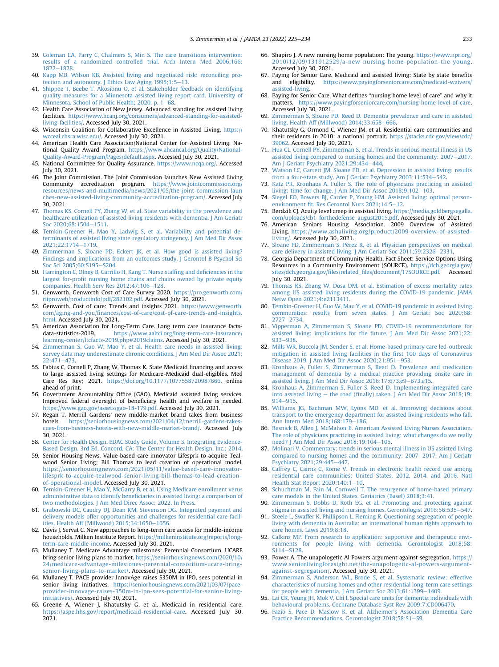- <span id="page-10-0"></span>39. [Coleman EA, Parry C, Chalmers S, Min S. The care transitions intervention:](http://refhub.elsevier.com/S1525-8610(21)01055-0/sref39) [results of a randomized controlled trial. Arch Intern Med 2006;166:](http://refhub.elsevier.com/S1525-8610(21)01055-0/sref39) [1822](http://refhub.elsevier.com/S1525-8610(21)01055-0/sref39)-[1828](http://refhub.elsevier.com/S1525-8610(21)01055-0/sref39)
- <span id="page-10-1"></span>40. [Kapp MB, Wilson KB. Assisted living and negotiated risk: reconciling pro](http://refhub.elsevier.com/S1525-8610(21)01055-0/sref40)tection and autonomy. J Ethics Law Aging  $1995;1:5-13$  $1995;1:5-13$ .
- <span id="page-10-2"></span>41. [Shippee T, Beebe T, Akosionu O, et al. Stakeholder feedback on identifying](http://refhub.elsevier.com/S1525-8610(21)01055-0/sref41) [quality measures for a Minnesota assisted living report card. University of](http://refhub.elsevier.com/S1525-8610(21)01055-0/sref41)  $\widehat{\text{Minness}}$ ota. School of Public Health; 2020. p. 1–[68](http://refhub.elsevier.com/S1525-8610(21)01055-0/sref41).
- <span id="page-10-3"></span>42. Health Care Association of New Jersey. Advanced standing for assisted living facilities. [https://www.hcanj.org/consumers/advanced-standing-for-assisted](https://www.hcanj.org/consumers/advanced-standing-for-assisted-living-facilities/)[living-facilities/](https://www.hcanj.org/consumers/advanced-standing-for-assisted-living-facilities/). Accessed July 30, 2021.
- <span id="page-10-4"></span>43. Wisconsin Coalition for Collaborative Excellence in Assisted Living. [https://](https://wcceal.chsra.wisc.edu/) [wcceal.chsra.wisc.edu/.](https://wcceal.chsra.wisc.edu/) Accessed July 30, 2021.
- <span id="page-10-5"></span>44. American Health Care Association/National Center for Assisted Living. National Quality Award Program. [https://www.ahcancal.org/Quality/National-](https://www.ahcancal.org/Quality/National-Quality-Award-Program/Pages/default.aspx)[Quality-Award-Program/Pages/default.aspx.](https://www.ahcancal.org/Quality/National-Quality-Award-Program/Pages/default.aspx) Accessed July 30, 2021.
- 45. National Committee for Quality Assurance. <https://www.ncqa.org/>. Accessed July 30, 2021.
- 46. The Joint Commission. The Joint Commission launches New Assisted Living Community accreditation program. [https://www.jointcommission.org/](https://www.jointcommission.org/resources/news-and-multimedia/news/2021/05/the-joint-commission-launches-new-assisted-living-community-accreditation-program/) [resources/news-and-multimedia/news/2021/05/the-joint-commission-laun](https://www.jointcommission.org/resources/news-and-multimedia/news/2021/05/the-joint-commission-launches-new-assisted-living-community-accreditation-program/) [ches-new-assisted-living-community-accreditation-program/.](https://www.jointcommission.org/resources/news-and-multimedia/news/2021/05/the-joint-commission-launches-new-assisted-living-community-accreditation-program/) Accessed July 30, 2021.
- <span id="page-10-6"></span>47. [Thomas KS, Cornell PY, Zhang W, et al. State variability in the prevalence and](http://refhub.elsevier.com/S1525-8610(21)01055-0/sref47) [healthcare utilization of assisted living residents with dementia. J Am Geriatr](http://refhub.elsevier.com/S1525-8610(21)01055-0/sref47) [Soc 2020;68:1504](http://refhub.elsevier.com/S1525-8610(21)01055-0/sref47)-[1511](http://refhub.elsevier.com/S1525-8610(21)01055-0/sref47).
- <span id="page-10-7"></span>48. [Temkin-Greener H, Mao Y, Ladwig S, et al. Variability and potential de](http://refhub.elsevier.com/S1525-8610(21)01055-0/sref48)[terminants of assisted living state regulatory stringency. J Am Med Dir Assoc](http://refhub.elsevier.com/S1525-8610(21)01055-0/sref48) 2021:22:1714-[1719.](http://refhub.elsevier.com/S1525-8610(21)01055-0/sref48)
- <span id="page-10-8"></span>49. [Zimmerman S, Sloane PD, Eckert JK, et al. How good is assisted living?](http://refhub.elsevier.com/S1525-8610(21)01055-0/sref49) [Findings and implications from an outcomes study. J Gerontol B Psychol Sci](http://refhub.elsevier.com/S1525-8610(21)01055-0/sref49) [Soc Sci 2005;60:S195](http://refhub.elsevier.com/S1525-8610(21)01055-0/sref49)-[S204](http://refhub.elsevier.com/S1525-8610(21)01055-0/sref49).
- <span id="page-10-9"></span>50. [Harrington C, Olney B, Carrillo H, Kang T. Nurse staf](http://refhub.elsevier.com/S1525-8610(21)01055-0/sref50)fing and deficiencies in the largest for-profi[t nursing home chains and chains owned by private equity](http://refhub.elsevier.com/S1525-8610(21)01055-0/sref50) [companies. Health Serv Res 2012;47:106](http://refhub.elsevier.com/S1525-8610(21)01055-0/sref50)-[128.](http://refhub.elsevier.com/S1525-8610(21)01055-0/sref50)
- <span id="page-10-10"></span>51. Genworth. Genworth Cost of Care Survey 2020. [https://pro.genworth.com/](https://pro.genworth.com/riiproweb/productinfo/pdf/282102.pdf) [riiproweb/productinfo/pdf/282102.pdf.](https://pro.genworth.com/riiproweb/productinfo/pdf/282102.pdf) Accessed July 30, 2021.
- <span id="page-10-11"></span>52. Genworth. Cost of care: Trends and insights 2021. [https://www.genworth.](https://www.genworth.com/aging-and-you/finances/cost-of-care/cost-of-care-trends-and-insights.html) com/aging-and-you/fi[nances/cost-of-care/cost-of-care-trends-and-insights.](https://www.genworth.com/aging-and-you/finances/cost-of-care/cost-of-care-trends-and-insights.html) [html.](https://www.genworth.com/aging-and-you/finances/cost-of-care/cost-of-care-trends-and-insights.html) Accessed July 30, 2021.
- <span id="page-10-12"></span>53. American Association for Long-Term Care. Long term care insurance facts-<br>data-statistics-2019. https://www.aaltci.org/long-term-care-insurance/ [https://www.aaltci.org/long-term-care-insurance/](https://www.aaltci.org/long-term-care-insurance/learning-center/ltcfacts-2019.php#2019claims) [learning-center/ltcfacts-2019.php#2019claims.](https://www.aaltci.org/long-term-care-insurance/learning-center/ltcfacts-2019.php#2019claims) Accessed July 30, 2021.
- <span id="page-10-13"></span>54. [Zimmerman S, Guo W, Mao Y, et al. Health care needs in assisted living:](http://refhub.elsevier.com/S1525-8610(21)01055-0/sref54) [survey data may underestimate chronic conditions. J Am Med Dir Assoc 2021;](http://refhub.elsevier.com/S1525-8610(21)01055-0/sref54)  $22:471-473.$  $22:471-473.$  $22:471-473.$
- <span id="page-10-14"></span>55. Fabius C, Cornell P, Zhang W, Thomas K. State Medicaid financing and access to large assisted living settings for Medicare-Medicaid dual-eligibles. Med Care Res Rev; 2021. [https://doi.org/10.1177/1077558720987666.](https://doi.org/10.1177/1077558720987666) online ahead of print.
- <span id="page-10-15"></span>56. Government Accountablity Office (GAO). Medicaid assisted living services. Improved federal oversight of beneficiary health and welfare is needed. <https://www.gao.gov/assets/gao-18-179.pdf>. Accessed July 30, 2021.
- <span id="page-10-16"></span>57. Regan T. Merrill Gardens' new middle-market brand takes from business hotels. [https://seniorhousingnews.com/2021/04/12/merrill-gardens-takes](https://seniorhousingnews.com/2021/04/12/merrill-gardens-takes-cues-from-business-hotels-with-new-middle-market-brand/)[cues-from-business-hotels-with-new-middle-market-brand/](https://seniorhousingnews.com/2021/04/12/merrill-gardens-takes-cues-from-business-hotels-with-new-middle-market-brand/). Accessed July 30, 2021.
- <span id="page-10-17"></span>58. [Center for Health Design. EDAC Study Guide, Volume 3, Integrating Evidence-](http://refhub.elsevier.com/S1525-8610(21)01055-0/sref58)[Based Design. 3rd Ed. Concord, CA: The Center for Health Design, Inc.; 2014](http://refhub.elsevier.com/S1525-8610(21)01055-0/sref58).
- <span id="page-10-18"></span>59. Senior Housing News. Value-based care innovator Lifesprk to acquire Tealwood Senior Living; Bill Thomas to lead creation of operational model. [https://seniorhousingnews.com/2021/05/11/value-based-care-innovator](https://seniorhousingnews.com/2021/05/11/value-based-care-innovator-lifesprk-to-acquire-tealwood-senior-living-bill-thomas-to-lead-creation-of-operational-model)[lifesprk-to-acquire-tealwood-senior-living-bill-thomas-to-lead-creation](https://seniorhousingnews.com/2021/05/11/value-based-care-innovator-lifesprk-to-acquire-tealwood-senior-living-bill-thomas-to-lead-creation-of-operational-model)[of-operational-model.](https://seniorhousingnews.com/2021/05/11/value-based-care-innovator-lifesprk-to-acquire-tealwood-senior-living-bill-thomas-to-lead-creation-of-operational-model) Accessed July 30, 2021.
- <span id="page-10-19"></span>60. [Temkin-Greener H, Mao Y, McGarry B, et al. Using Medicare enrollment verus](http://refhub.elsevier.com/S1525-8610(21)01055-0/sref60) administrative data to identify benefi[ciaries in assisted living: a comparison of](http://refhub.elsevier.com/S1525-8610(21)01055-0/sref60) [two methodologies. J Am Med Direc Assoc; 2022. In Press.](http://refhub.elsevier.com/S1525-8610(21)01055-0/sref60)
- <span id="page-10-20"></span>61. [Grabowski DC, Caudry DJ, Dean KM, Stevenson DG. Integrated payment and](http://refhub.elsevier.com/S1525-8610(21)01055-0/sref61) [delivery models offer opportunities and challenges for residential care facil](http://refhub.elsevier.com/S1525-8610(21)01055-0/sref61)ities. Health Aff (Millwood)  $2015;34;1650-1656$  $2015;34;1650-1656$ .
- <span id="page-10-21"></span>62. Davis J, Servat C. New approaches to long-term care access for middle-income households. Milken Institute Report. [https://milkeninstitute.org/reports/long](https://milkeninstitute.org/reports/long-term-care-middle-income)[term-care-middle-income](https://milkeninstitute.org/reports/long-term-care-middle-income). Accessed July 30, 2021.
- 63. Mullaney T. Medicare Advantage milestones: Perennial Consortium, UCARE bring senior living plans to market. [https://seniorhousingnews.com/2020/10/](https://seniorhousingnews.com/2020/10/24/medicare-advantage-milestones-perennial-consortium-ucare-bring-senior-living-plans-to-market/) [24/medicare-advantage-milestones-perennial-consortium-ucare-bring](https://seniorhousingnews.com/2020/10/24/medicare-advantage-milestones-perennial-consortium-ucare-bring-senior-living-plans-to-market/)[senior-living-plans-to-market/.](https://seniorhousingnews.com/2020/10/24/medicare-advantage-milestones-perennial-consortium-ucare-bring-senior-living-plans-to-market/) Accessed July 30, 2021.
- 64. Mullaney T. PACE provider InnovAge raises \$350M in IPO, sees potential in senior living initiatives. [https://seniorhousingnews.com/2021/03/07/pace](https://seniorhousingnews.com/2021/03/07/pace-provider-innovage-raises-350m-in-ipo-sees-potential-for-senior-living-initiatives/)[provider-innovage-raises-350m-in-ipo-sees-potential-for-senior-living](https://seniorhousingnews.com/2021/03/07/pace-provider-innovage-raises-350m-in-ipo-sees-potential-for-senior-living-initiatives/)[initiatives/](https://seniorhousingnews.com/2021/03/07/pace-provider-innovage-raises-350m-in-ipo-sees-potential-for-senior-living-initiatives/). Accessed July 30, 2021.
- <span id="page-10-22"></span>65. Greene A, Wiener J, Khatutsky G, et al. Medicaid in residential care. <https://aspe.hhs.gov/report/medicaid-residential-care>. Accessed July 30, 2021.
- <span id="page-10-23"></span>66. Shapiro J. A new nursing home population: The young. [https://www.npr.org/](https://www.npr.org/2010/12/09/131912529/a-new-nursing-home-population-the-young) [2010/12/09/131912529/a-new-nursing-home-population-the-young.](https://www.npr.org/2010/12/09/131912529/a-new-nursing-home-population-the-young) Accessed July 30, 2021.
- <span id="page-10-24"></span>67. Paying for Senior Care. Medicaid and assisted living: State by state benefits and eligibility. [https://www.payingforseniorcare.com/medicaid-waivers/](https://www.payingforseniorcare.com/medicaid-waivers/assisted-living) [assisted-living.](https://www.payingforseniorcare.com/medicaid-waivers/assisted-living)
- <span id="page-10-25"></span>68. Paying for Senior Care. What defines "nursing home level of care" and why it matters. <https://www.payingforseniorcare.com/nursing-home-level-of-care>. Accessed July 30, 2021.
- <span id="page-10-26"></span>69. [Zimmerman S, Sloane PD, Reed D. Dementia prevalence and care in assisted](http://refhub.elsevier.com/S1525-8610(21)01055-0/sref69) living. Health Aff (Millwood)  $2014;33:658-666$  $2014;33:658-666$ .
- <span id="page-10-27"></span>70. Khatutsky G, Ormond C, Wiener JM, et al. Residential care communities and their residents in 2010: a national portrait. [https://stacks.cdc.gov/view/cdc/](https://stacks.cdc.gov/view/cdc/39062) [39062](https://stacks.cdc.gov/view/cdc/39062). Accessed July 30, 2021.
- <span id="page-10-28"></span>71. [Hua CL, Cornell PY, Zimmerman S, et al. Trends in serious mental illness in US](http://refhub.elsevier.com/S1525-8610(21)01055-0/sref71) [assisted living compared to nursing homes and the community: 2007](http://refhub.elsevier.com/S1525-8610(21)01055-0/sref71)-[2017.](http://refhub.elsevier.com/S1525-8610(21)01055-0/sref71) [Am J Geriatr Psychiatry 2021;29:434](http://refhub.elsevier.com/S1525-8610(21)01055-0/sref71)-[444](http://refhub.elsevier.com/S1525-8610(21)01055-0/sref71).
- <span id="page-10-29"></span>72. [Watson LC, Garrett JM, Sloane PD, et al. Depression in assisted living: results](http://refhub.elsevier.com/S1525-8610(21)01055-0/sref72) [from a four-state study. Am J Geriatr Psychiatry 2003;11:534](http://refhub.elsevier.com/S1525-8610(21)01055-0/sref72)-[542.](http://refhub.elsevier.com/S1525-8610(21)01055-0/sref72)
- <span id="page-10-30"></span>73. [Katz PR, Kronhaus A, Fuller S. The role of physicians practicing in assisted](http://refhub.elsevier.com/S1525-8610(21)01055-0/sref73) [living: time for change. J Am Med Dir Assoc 2018;9:102](http://refhub.elsevier.com/S1525-8610(21)01055-0/sref73)-[103](http://refhub.elsevier.com/S1525-8610(21)01055-0/sref73).
- 74. [Siegel EO, Bowers BJ, Carder P, Young HM. Assisted living: optimal person](http://refhub.elsevier.com/S1525-8610(21)01055-0/sref74)environment fi[t. Res Gerontol Nurs 2021;14:5](http://refhub.elsevier.com/S1525-8610(21)01055-0/sref74)-[12.](http://refhub.elsevier.com/S1525-8610(21)01055-0/sref74)
- <span id="page-10-31"></span>75. Berdzik CJ. Acuity level creep in assisted living. [https://media.goldbergsegalla.](https://media.goldbergsegalla.com/uploads/cb1_forthedefense_august2015.pdf) [com/uploads/cb1\\_forthedefense\\_august2015.pdf](https://media.goldbergsegalla.com/uploads/cb1_forthedefense_august2015.pdf). Accessed July 30, 2021.
- 76. American Seniors Housing Association. 2009 Overview of Assisted Living. [https://www.ashaliving.org/product/2009-overview-of-assisted](https://www.ashaliving.org/product/2009-overview-of-assisted-living/)[living/](https://www.ashaliving.org/product/2009-overview-of-assisted-living/). Accessed July 30, 2021.
- <span id="page-10-32"></span>77. [Sloane PD, Zimmerman S, Perez R, et al. Physician perspectives on medical](http://refhub.elsevier.com/S1525-8610(21)01055-0/sref77) [care delivery in assisted living. J Am Geriatr Soc 2011;59:2326](http://refhub.elsevier.com/S1525-8610(21)01055-0/sref77)-[2331](http://refhub.elsevier.com/S1525-8610(21)01055-0/sref77).
- <span id="page-10-33"></span>78. Georgia Department of Community Health. Fact Sheet: Service Options Using Resources in a Community Environment (SOURCE). [https://dch.georgia.gov/](https://dch.georgia.gov/sites/dch.georgia.gov/files/related_files/document/17SOURCE.pdf) sites/dch.georgia.gov/files/related\_fi[les/document/17SOURCE.pdf](https://dch.georgia.gov/sites/dch.georgia.gov/files/related_files/document/17SOURCE.pdf). Accessed July 30, 2021.
- <span id="page-10-34"></span>79. [Thomas KS, Zhang W, Dosa DM, et al. Estimation of excess mortality rates](http://refhub.elsevier.com/S1525-8610(21)01055-0/sref79) [among US assisted living residents during the COVID-19 pandemic. JAMA](http://refhub.elsevier.com/S1525-8610(21)01055-0/sref79) [Netw Open 2021;4:e2113411.](http://refhub.elsevier.com/S1525-8610(21)01055-0/sref79)
- <span id="page-10-35"></span>80. [Temkin-Greener H, Guo W, Mau Y, et al. COVID-19 pandemic in assisted living](http://refhub.elsevier.com/S1525-8610(21)01055-0/sref80) [communities: results from seven states. J Am Geriatr Soc 2020;68:](http://refhub.elsevier.com/S1525-8610(21)01055-0/sref80) [2727](http://refhub.elsevier.com/S1525-8610(21)01055-0/sref80)-[2734.](http://refhub.elsevier.com/S1525-8610(21)01055-0/sref80)
- <span id="page-10-36"></span>81. [Vipperman A, Zimmerman S, Sloane PD. COVID-19 recommendations for](http://refhub.elsevier.com/S1525-8610(21)01055-0/sref81) [assisted living: implications for the future. J Am Med Dir Assoc 2021;22:](http://refhub.elsevier.com/S1525-8610(21)01055-0/sref81) [933](http://refhub.elsevier.com/S1525-8610(21)01055-0/sref81)-[938.](http://refhub.elsevier.com/S1525-8610(21)01055-0/sref81)
- <span id="page-10-37"></span>82. [Mills WR, Buccola JM, Sender S, et al. Home-based primary care led-outbreak](http://refhub.elsevier.com/S1525-8610(21)01055-0/sref82) [mitigation in assisted living facilities in the](http://refhub.elsevier.com/S1525-8610(21)01055-0/sref82) first 100 days of Coronavirus [Disease 2019. J Am Med Dir Assoc 2020;21:951](http://refhub.elsevier.com/S1525-8610(21)01055-0/sref82)-[953](http://refhub.elsevier.com/S1525-8610(21)01055-0/sref82).
- <span id="page-10-38"></span>83. [Kronhaus A, Fuller S, Zimmerman S, Reed D. Prevalence and medication](http://refhub.elsevier.com/S1525-8610(21)01055-0/sref83) [management of dementia by a medical practice providing onsite care in](http://refhub.elsevier.com/S1525-8610(21)01055-0/sref83) [assisted living. J Am Med Dir Assoc 2016;17:673.e9](http://refhub.elsevier.com/S1525-8610(21)01055-0/sref83)–[673.e15.](http://refhub.elsevier.com/S1525-8610(21)01055-0/sref83)
- 84. [Kronhaus A, Zimmerman S, Fuller S, Reed D. Implementing integrated care](http://refhub.elsevier.com/S1525-8610(21)01055-0/sref84) [into assisted living](http://refhub.elsevier.com/S1525-8610(21)01055-0/sref84)  $-$  the road (fi[nally\) taken. J Am Med Dir Assoc 2018;19:](http://refhub.elsevier.com/S1525-8610(21)01055-0/sref84)  $914 - 915$  $914 - 915$
- 85. [Williams JG, Bachman MW, Lyons MD, et al. Improving decisions about](http://refhub.elsevier.com/S1525-8610(21)01055-0/sref85) [transport to the emergency department for assisted living residents who fall.](http://refhub.elsevier.com/S1525-8610(21)01055-0/sref85) [Ann Intern Med 2018;168:179](http://refhub.elsevier.com/S1525-8610(21)01055-0/sref85)-[186](http://refhub.elsevier.com/S1525-8610(21)01055-0/sref85).
- <span id="page-10-39"></span>86. [Resnick B, Allen J, McMahon E. American Assisted Living Nurses Association.](http://refhub.elsevier.com/S1525-8610(21)01055-0/sref86) [The role of physicians practicing in assisted living: what changes do we really](http://refhub.elsevier.com/S1525-8610(21)01055-0/sref86) [need? J Am Med Dir Assoc 2018;19:104](http://refhub.elsevier.com/S1525-8610(21)01055-0/sref86)-[105](http://refhub.elsevier.com/S1525-8610(21)01055-0/sref86).
- <span id="page-10-40"></span>87. [Molinari V. Commentary: trends in serious mental illness in US assisted living](http://refhub.elsevier.com/S1525-8610(21)01055-0/sref87) [compared to nursing homes and the community: 2007](http://refhub.elsevier.com/S1525-8610(21)01055-0/sref87)-[2017. Am J Geriatr](http://refhub.elsevier.com/S1525-8610(21)01055-0/sref87) [Psychiatry 2021;29:445](http://refhub.elsevier.com/S1525-8610(21)01055-0/sref87)-[447.](http://refhub.elsevier.com/S1525-8610(21)01055-0/sref87)
- <span id="page-10-41"></span>88. [Caffrey C, Cairns C, Rome V. Trends in electronic health record use among](http://refhub.elsevier.com/S1525-8610(21)01055-0/sref88) [residential care communities: United States, 2012, 2014, and 2016. Natl](http://refhub.elsevier.com/S1525-8610(21)01055-0/sref88) Health Stat Report  $2020;140:1-10$  $2020;140:1-10$ .
- <span id="page-10-42"></span>89. [Schuchman M, Fain M, Cornwell T. The resurgence of home-based primary](http://refhub.elsevier.com/S1525-8610(21)01055-0/sref89) [care models in the United States. Geriatrics \(Basel\) 2018;3:41.](http://refhub.elsevier.com/S1525-8610(21)01055-0/sref89)
- <span id="page-10-43"></span>90. [Zimmerman S, Dobbs D, Roth EG, et al. Promoting and protecting against](http://refhub.elsevier.com/S1525-8610(21)01055-0/sref90) [stigma in assisted living and nursing homes. Gerontologist 2016;56:535](http://refhub.elsevier.com/S1525-8610(21)01055-0/sref90)-[547](http://refhub.elsevier.com/S1525-8610(21)01055-0/sref90).
- <span id="page-10-44"></span>91. [Steele L, Swaffer K, Phillipson L, Fleming R. Questioning segregation of people](http://refhub.elsevier.com/S1525-8610(21)01055-0/sref91) [living with dementia in Australia: an international human rights approach to](http://refhub.elsevier.com/S1525-8610(21)01055-0/sref91) [care homes. Laws 2019;8:18](http://refhub.elsevier.com/S1525-8610(21)01055-0/sref91).
- <span id="page-10-45"></span>92. [Calkins MP. From research to application: supportive and therapeutic envi](http://refhub.elsevier.com/S1525-8610(21)01055-0/sref92)[ronments for people living with dementia. Gerontologist 2018;58:](http://refhub.elsevier.com/S1525-8610(21)01055-0/sref92) [S114](http://refhub.elsevier.com/S1525-8610(21)01055-0/sref92)-[S128.](http://refhub.elsevier.com/S1525-8610(21)01055-0/sref92)
- <span id="page-10-46"></span>93. Power A. The unapologetic Al Powers argument against segregation. [https://](https://www.seniorlivingforesight.net/the-unapologetic-al-powers-argument-against-segregation/) [www.seniorlivingforesight.net/the-unapologetic-al-powers-argument](https://www.seniorlivingforesight.net/the-unapologetic-al-powers-argument-against-segregation/)[against-segregation/.](https://www.seniorlivingforesight.net/the-unapologetic-al-powers-argument-against-segregation/) Accessed July 30, 2021.
- <span id="page-10-47"></span>94. [Zimmerman S, Anderson WL, Brode S, et al. Systematic review: effective](http://refhub.elsevier.com/S1525-8610(21)01055-0/sref94) [characteristics of nursing homes and other residential long-term care settings](http://refhub.elsevier.com/S1525-8610(21)01055-0/sref94) [for people with dementia. J Am Geriatr Soc 2013;61:1399](http://refhub.elsevier.com/S1525-8610(21)01055-0/sref94)-[1409.](http://refhub.elsevier.com/S1525-8610(21)01055-0/sref94)
- <span id="page-10-48"></span>95. [Lai CK, Yeung JH, Mok V, Chi I. Special care units for dementia individuals with](http://refhub.elsevier.com/S1525-8610(21)01055-0/sref95) [behavioural problems. Cochrane Database Syst Rev 2009;7:CD006470](http://refhub.elsevier.com/S1525-8610(21)01055-0/sref95).
- <span id="page-10-49"></span>96. [Fazio S, Pace D, Maslow K, et al. Alzheimer](http://refhub.elsevier.com/S1525-8610(21)01055-0/sref96)'s Association Dementia Care [Practice Recommendations. Gerontologist 2018;58:S1](http://refhub.elsevier.com/S1525-8610(21)01055-0/sref96)-[S9](http://refhub.elsevier.com/S1525-8610(21)01055-0/sref96).